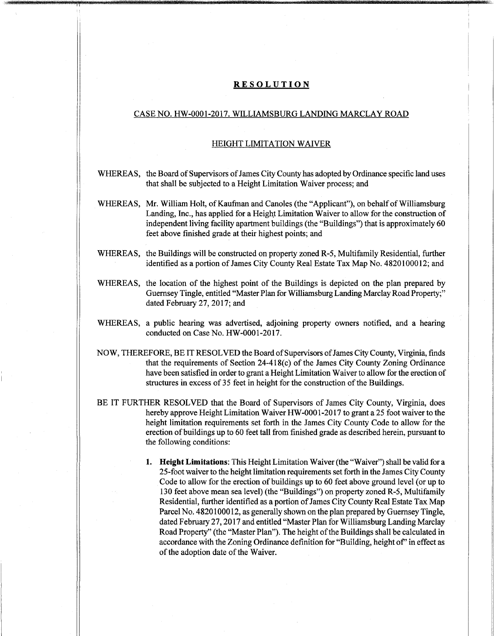## **RESOLUTION**

## CASE NO. HW-0001-2017. WILLIAMSBURG LANDING MARCLAY ROAD

## HEIGHT LIMITATION WAIVER

- WHEREAS, the Board of Supervisors of James City County has adopted by Ordinance specific land uses that shall be subjected to a Height Limitation Waiver process; and
- WHEREAS, Mr. William Holt, of Kaufman and Canoles (the "Applicant"), on behalf of Williamsburg Landing, Inc., has applied for a Height Limitation Waiver to allow for the construction of independent living facility apartment buildings (the "Buildings") that is approximately 60 feet above finished grade at their highest points; and
- WHEREAS, the Buildings will be constructed on property zoned R-5, Multifamily Residential, further identified as a portion of James City County Real Estate Tax Map No. 4820100012; and
- WHEREAS, the location of the highest point of the Buildings is depicted on the plan prepared by Guernsey Tingle, entitled "Master Plan for Williamsburg Landing Marclay Road Property;" dated February 27, 2017; and
- WHEREAS, a public hearing was advertised, adjoining property owners notified, and a hearing conducted on Case No. HW-0001-2017.
- NOW, THEREFORE, BE IT RESOLVED the Board ofSupervisors ofJames City County, Virginia, finds that the requirements of Section  $24-418(c)$  of the James City County Zoning Ordinance have been satisfied in order to grant a Height Limitation Waiver to allow for the erection of structures in excess of 35 feet in height for the construction of the Buildings.
- BE IT FURTHER RESOLVED that the Board of Supervisors of James City County, Virginia, does hereby approve Height Limitation Waiver HW-0001-2017 to grant a 25 foot waiver to the height limitation requirements set forth in the James City County Code to allow for the erection of buildings up to 60 feet tall from finished grade as described herein, pursuant to the following conditions:
	- **1. Height Limitations:** This Height Limitation Waiver (the "Waiver") shall be valid for a 25-foot waiver to the height limitation requirements set forth in the James City County Code to allow for the erection of buildings up to 60 feet above ground level (or up to 130 feet above mean sea level) (the "Buildings") on property zoned R-5, Multifamily Residential, further identified as a portion of James City County Real Estate Tax Map Parcel No. 4820100012, as generally shown on the plan prepared by Guernsey Tingle, dated February 27,2017 and entitled "Master Plan for Williamsburg Landing Marclay Road Property" (the "Master Plan"). The height of the Buildings shall be calculated in accordance with the Zoning Ordinance definition for "Building, height of' in effect as of the adoption date of the Waiver.